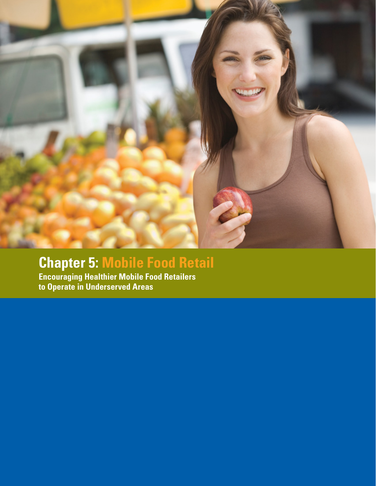

# **Chapter 5: Mobile Food Retail**

**Encouraging Healthier Mobile Food Retailers to Operate in Underserved Areas**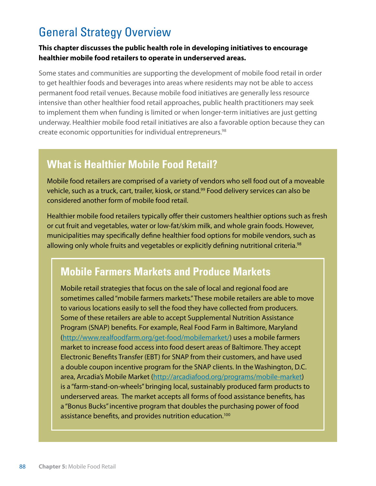## General Strategy Overview

#### **This chapter discusses the public health role in developing initiatives to encourage healthier mobile food retailers to operate in underserved areas.**

Some states and communities are supporting the development of mobile food retail in order to get healthier foods and beverages into areas where residents may not be able to access permanent food retail venues. Because mobile food initiatives are generally less resource intensive than other healthier food retail approaches, public health practitioners may seek to implement them when funding is limited or when longer-term initiatives are just getting underway. Healthier mobile food retail initiatives are also a favorable option because they can create economic opportunities for individual entrepreneurs.<sup>98</sup>

### **What is Healthier Mobile Food Retail?**

Mobile food retailers are comprised of a variety of vendors who sell food out of a moveable vehicle, such as a truck, cart, trailer, kiosk, or stand.<sup>99</sup> Food delivery services can also be considered another form of mobile food retail.

Healthier mobile food retailers typically offer their customers healthier options such as fresh or cut fruit and vegetables, water or low-fat/skim milk, and whole grain foods. However, municipalities may specifically define healthier food options for mobile vendors, such as allowing only whole fruits and vegetables or explicitly defining nutritional criteria.<sup>98</sup>

### **Mobile Farmers Markets and Produce Markets**

Mobile retail strategies that focus on the sale of local and regional food are sometimes called "mobile farmers markets." These mobile retailers are able to move to various locations easily to sell the food they have collected from producers. Some of these retailers are able to accept Supplemental Nutrition Assistance Program (SNAP) benefits. For example, Real Food Farm in Baltimore, Maryland [\(http://www.realfoodfarm.org/get-food/mobilemarket/](http://www.realfoodfarm.org/get-food/mobilemarket)) uses a mobile farmers market to increase food access into food desert areas of Baltimore. They accept Electronic Benefits Transfer (EBT) for SNAP from their customers, and have used a double coupon incentive program for the SNAP clients. In the Washington, D.C. area, Arcadia's Mobile Market ([http://arcadiafood.org/programs/mobile-](http://arcadiafood.org/programs/mobile)market) is a "farm-stand-on-wheels" bringing local, sustainably produced farm products to underserved areas. The market accepts all forms of food assistance benefits, has a "Bonus Bucks" incentive program that doubles the purchasing power of food assistance benefits, and provides nutrition education.100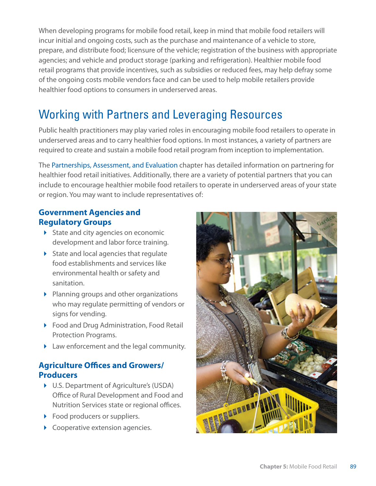When developing programs for mobile food retail, keep in mind that mobile food retailers will incur initial and ongoing costs, such as the purchase and maintenance of a vehicle to store, prepare, and distribute food; licensure of the vehicle; registration of the business with appropriate agencies; and vehicle and product storage (parking and refrigeration). Healthier mobile food retail programs that provide incentives, such as subsidies or reduced fees, may help defray some of the ongoing costs mobile vendors face and can be used to help mobile retailers provide healthier food options to consumers in underserved areas.

## Working with Partners and Leveraging Resources

Public health practitioners may play varied roles in encouraging mobile food retailers to operate in underserved areas and to carry healthier food options. In most instances, a variety of partners are required to create and sustain a mobile food retail program from inception to implementation.

The Partnerships, Assessment, and Evaluation chapter has detailed information on partnering for healthier food retail initiatives. Additionally, there are a variety of potential partners that you can include to encourage healthier mobile food retailers to operate in underserved areas of your state or region. You may want to include representatives of:

#### **Government Agencies and Regulatory Groups**

- $\triangleright$  State and city agencies on economic development and labor force training.
- $\triangleright$  State and local agencies that regulate food establishments and services like environmental health or safety and sanitation.
- $\triangleright$  Planning groups and other organizations who may regulate permitting of vendors or signs for vending.
- ▶ Food and Drug Administration, Food Retail Protection Programs.
- Law enforcement and the legal community.

#### **Agriculture Offices and Growers/ Producers**

- U.S. Department of Agriculture's (USDA) Office of Rural Development and Food and Nutrition Services state or regional offices.
- Food producers or suppliers.
- Cooperative extension agencies.

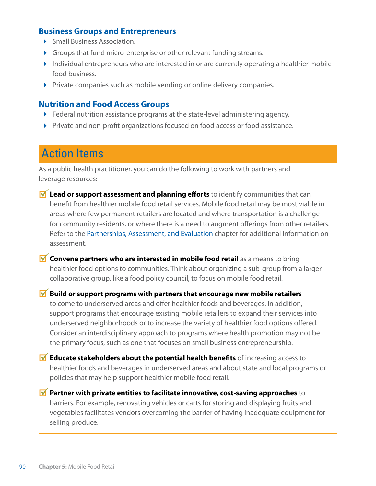#### **Business Groups and Entrepreneurs**

- **Small Business Association.**
- Groups that fund micro-enterprise or other relevant funding streams.
- Individual entrepreneurs who are interested in or are currently operating a healthier mobile food business.
- Private companies such as mobile vending or online delivery companies.

#### **Nutrition and Food Access Groups**

- Federal nutrition assistance programs at the state-level administering agency.
- Private and non-profit organizations focused on food access or food assistance.

### Action Items

As a public health practitioner, you can do the following to work with partners and leverage resources:

- **M** Lead or support assessment and planning efforts to identify communities that can benefit from healthier mobile food retail services. Mobile food retail may be most viable in areas where few permanent retailers are located and where transportation is a challenge for community residents, or where there is a need to augment offerings from other retailers. Refer to the Partnerships, Assessment, and Evaluation chapter for additional information on assessment.
- **M** Convene partners who are interested in mobile food retail as a means to bring healthier food options to communities. Think about organizing a sub-group from a larger collaborative group, like a food policy council, to focus on mobile food retail.

**M** Build or support programs with partners that encourage new mobile retailers to come to underserved areas and offer healthier foods and beverages. In addition, support programs that encourage existing mobile retailers to expand their services into underserved neighborhoods or to increase the variety of healthier food options offered. Consider an interdisciplinary approach to programs where health promotion may not be the primary focus, such as one that focuses on small business entrepreneurship.

**M** Educate stakeholders about the potential health benefits of increasing access to healthier foods and beverages in underserved areas and about state and local programs or policies that may help support healthier mobile food retail.

 **Partner with private entities to facilitate innovative, cost-saving approaches** to barriers. For example, renovating vehicles or carts for storing and displaying fruits and vegetables facilitates vendors overcoming the barrier of having inadequate equipment for selling produce.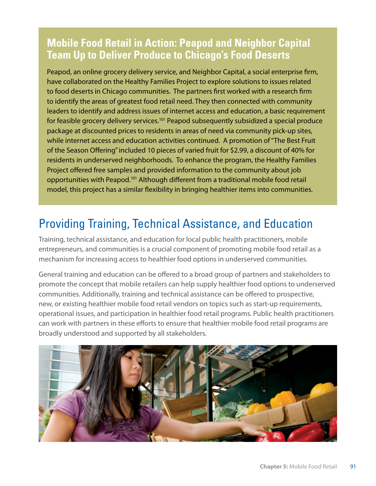### **Mobile Food Retail in Action: Peapod and Neighbor Capital Team Up to Deliver Produce to Chicago's Food Deserts**

Peapod, an online grocery delivery service, and Neighbor Capital, a social enterprise firm, have collaborated on the Healthy Families Project to explore solutions to issues related to food deserts in Chicago communities. The partners first worked with a research firm to identify the areas of greatest food retail need. They then connected with community leaders to identify and address issues of internet access and education, a basic requirement for feasible grocery delivery services.101 Peapod subsequently subsidized a special produce package at discounted prices to residents in areas of need via community pick-up sites, while internet access and education activities continued. A promotion of "The Best Fruit of the Season Offering" included 10 pieces of varied fruit for \$2.99, a discount of 40% for residents in underserved neighborhoods. To enhance the program, the Healthy Families Project offered free samples and provided information to the community about job opportunities with Peapod.101 Although different from a traditional mobile food retail model, this project has a similar flexibility in bringing healthier items into communities.

## Providing Training, Technical Assistance, and Education

Training, technical assistance, and education for local public health practitioners, mobile entrepreneurs, and communities is a crucial component of promoting mobile food retail as a mechanism for increasing access to healthier food options in underserved communities.

General training and education can be offered to a broad group of partners and stakeholders to promote the concept that mobile retailers can help supply healthier food options to underserved communities. Additionally, training and technical assistance can be offered to prospective, new, or existing healthier mobile food retail vendors on topics such as start-up requirements, operational issues, and participation in healthier food retail programs. Public health practitioners can work with partners in these efforts to ensure that healthier mobile food retail programs are broadly understood and supported by all stakeholders.

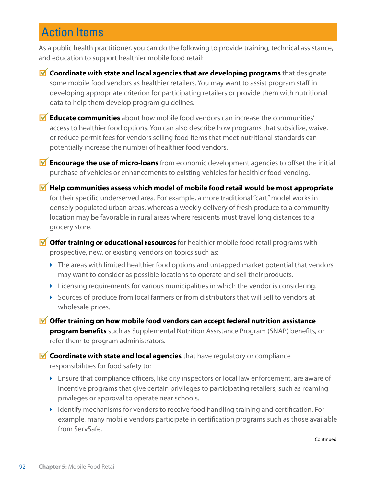## Action Items

As a public health practitioner, you can do the following to provide training, technical assistance, and education to support healthier mobile food retail:

- **M** Coordinate with state and local agencies that are developing programs that designate some mobile food vendors as healthier retailers. You may want to assist program staff in developing appropriate criterion for participating retailers or provide them with nutritional data to help them develop program guidelines.
- **Educate communities** about how mobile food vendors can increase the communities' access to healthier food options. You can also describe how programs that subsidize, waive, or reduce permit fees for vendors selling food items that meet nutritional standards can potentially increase the number of healthier food vendors.
- **Encourage the use of micro-loans** from economic development agencies to offset the initial purchase of vehicles or enhancements to existing vehicles for healthier food vending.
- **Help communities assess which model of mobile food retail would be most appropriate** for their specific underserved area. For example, a more traditional "cart" model works in densely populated urban areas, whereas a weekly delivery of fresh produce to a community location may be favorable in rural areas where residents must travel long distances to a grocery store.

*M* Offer training or educational resources for healthier mobile food retail programs with prospective, new, or existing vendors on topics such as:

- $\blacktriangleright$  The areas with limited healthier food options and untapped market potential that vendors may want to consider as possible locations to operate and sell their products.
- $\blacktriangleright$  Licensing requirements for various municipalities in which the vendor is considering.
- Sources of produce from local farmers or from distributors that will sell to vendors at wholesale prices.
- **Offer training on how mobile food vendors can accept federal nutrition assistance program benefits** such as Supplemental Nutrition Assistance Program (SNAP) benefits, or refer them to program administrators.
- **M** Coordinate with state and local agencies that have regulatory or compliance responsibilities for food safety to:
	- Ensure that compliance officers, like city inspectors or local law enforcement, are aware of incentive programs that give certain privileges to participating retailers, such as roaming privileges or approval to operate near schools.
	- Identify mechanisms for vendors to receive food handling training and certification. For example, many mobile vendors participate in certification programs such as those available from ServSafe.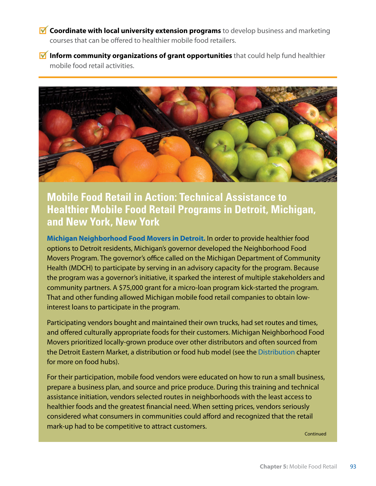- *M* Coordinate with local university extension programs to develop business and marketing courses that can be offered to healthier mobile food retailers.
- **M** Inform community organizations of grant opportunities that could help fund healthier mobile food retail activities.



**Mobile Food Retail in Action: Technical Assistance to Healthier Mobile Food Retail Programs in Detroit, Michigan, and New York, New York** 

**Michigan Neighborhood Food Movers in Detroit.** In order to provide healthier food options to Detroit residents, Michigan's governor developed the Neighborhood Food Movers Program. The governor's office called on the Michigan Department of Community Health (MDCH) to participate by serving in an advisory capacity for the program. Because the program was a governor's initiative, it sparked the interest of multiple stakeholders and community partners. A \$75,000 grant for a micro-loan program kick-started the program. That and other funding allowed Michigan mobile food retail companies to obtain lowinterest loans to participate in the program.

Participating vendors bought and maintained their own trucks, had set routes and times, and offered culturally appropriate foods for their customers. Michigan Neighborhood Food Movers prioritized locally-grown produce over other distributors and often sourced from the Detroit Eastern Market, a distribution or food hub model (see the Distribution chapter for more on food hubs).

For their participation, mobile food vendors were educated on how to run a small business, prepare a business plan, and source and price produce. During this training and technical assistance initiation, vendors selected routes in neighborhoods with the least access to healthier foods and the greatest financial need. When setting prices, vendors seriously considered what consumers in communities could afford and recognized that the retail mark-up had to be competitive to attract customers.

**Continued**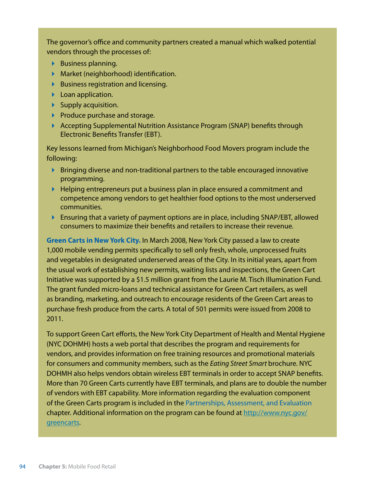The governor's office and community partners created a manual which walked potential vendors through the processes of:

- ▶ Business planning.
- Market (neighborhood) identification.
- $\blacktriangleright$  Business registration and licensing.
- **Loan application.**
- $\blacktriangleright$  Supply acquisition.
- $\blacktriangleright$  Produce purchase and storage.
- Accepting Supplemental Nutrition Assistance Program (SNAP) benefits through Electronic Benefits Transfer (EBT).

Key lessons learned from Michigan's Neighborhood Food Movers program include the following:

- $\blacktriangleright$  Bringing diverse and non-traditional partners to the table encouraged innovative programming.
- $\blacktriangleright$  Helping entrepreneurs put a business plan in place ensured a commitment and competence among vendors to get healthier food options to the most underserved communities.
- Ensuring that a variety of payment options are in place, including SNAP/EBT, allowed consumers to maximize their benefits and retailers to increase their revenue.

**Green Carts in New York City.** In March 2008, New York City passed a law to create 1,000 mobile vending permits specifically to sell only fresh, whole, unprocessed fruits and vegetables in designated underserved areas of the City. In its initial years, apart from the usual work of establishing new permits, waiting lists and inspections, the Green Cart Initiative was supported by a \$1.5 million grant from the Laurie M. Tisch Illumination Fund. The grant funded micro-loans and technical assistance for Green Cart retailers, as well as branding, marketing, and outreach to encourage residents of the Green Cart areas to purchase fresh produce from the carts. A total of 501 permits were issued from 2008 to 2011.

To support Green Cart efforts, the New York City Department of Health and Mental Hygiene (NYC DOHMH) hosts a web portal that describes the program and requirements for vendors, and provides information on free training resources and promotional materials for consumers and community members, such as the *Eating Street Smart* brochure. NYC DOHMH also helps vendors obtain wireless EBT terminals in order to accept SNAP benefits. More than 70 Green Carts currently have EBT terminals, and plans are to double the number of vendors with EBT capability. More information regarding the evaluation component of the Green Carts program is included in the Partnerships, Assessment, and Evaluation chapter. Additional information on the program can be found at [http://www.nyc.gov/](http://www.nyc.gov/greencarts) [greencarts](http://www.nyc.gov/greencarts).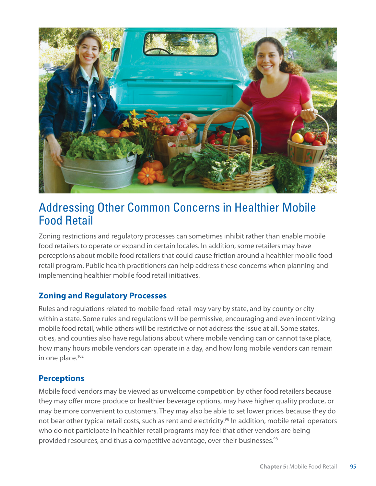

### Addressing Other Common Concerns in Healthier Mobile Food Retail

Zoning restrictions and regulatory processes can sometimes inhibit rather than enable mobile food retailers to operate or expand in certain locales. In addition, some retailers may have perceptions about mobile food retailers that could cause friction around a healthier mobile food retail program. Public health practitioners can help address these concerns when planning and implementing healthier mobile food retail initiatives.

### **Zoning and Regulatory Processes**

Rules and regulations related to mobile food retail may vary by state, and by county or city within a state. Some rules and regulations will be permissive, encouraging and even incentivizing mobile food retail, while others will be restrictive or not address the issue at all. Some states, cities, and counties also have regulations about where mobile vending can or cannot take place, how many hours mobile vendors can operate in a day, and how long mobile vendors can remain in one place.<sup>102</sup>

#### **Perceptions**

Mobile food vendors may be viewed as unwelcome competition by other food retailers because they may offer more produce or healthier beverage options, may have higher quality produce, or may be more convenient to customers. They may also be able to set lower prices because they do not bear other typical retail costs, such as rent and electricity.<sup>98</sup> In addition, mobile retail operators who do not participate in healthier retail programs may feel that other vendors are being provided resources, and thus a competitive advantage, over their businesses.<sup>98</sup>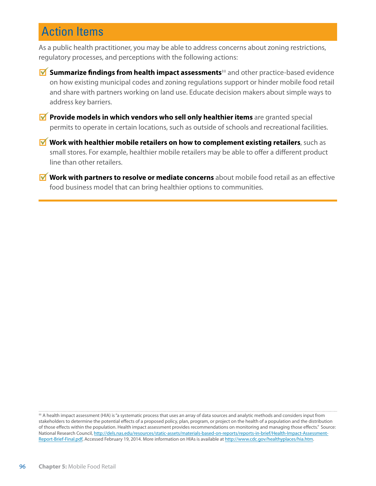## Action Items

As a public health practitioner, you may be able to address concerns about zoning restrictions, regulatory processes, and perceptions with the following actions:

- **M** Summarize findings from health impact assessments<sup>‡‡</sup> and other practice-based evidence on how existing municipal codes and zoning regulations support or hinder mobile food retail and share with partners working on land use. Educate decision makers about simple ways to address key barriers.
- *M* Provide models in which vendors who sell only healthier items are granted special permits to operate in certain locations, such as outside of schools and recreational facilities.
- **M** Work with healthier mobile retailers on how to complement existing retailers, such as small stores. For example, healthier mobile retailers may be able to offer a different product line than other retailers.
- **M** Work with partners to resolve or mediate concerns about mobile food retail as an effective food business model that can bring healthier options to communities.

<sup>#</sup> A health impact assessment (HIA) is "a systematic process that uses an array of data sources and analytic methods and considers input from stakeholders to determine the potential effects of a proposed policy, plan, program, or project on the health of a population and the distribution of those effects within the population. Health impact assessment provides recommendations on monitoring and managing those effects." Source: National Research Council, [http://dels.nas.edu/resources/static-assets/materials-based-on-reports/reports-in-brief/Health-Impact-Assessment-](http://dels.nas.edu/resources/static-assets/materials-based-on-reports/reports-in-brief/Health-Impact-Assessment-Report-Brief-Final.pdf)[Report-Brief-Final.pdf](http://dels.nas.edu/resources/static-assets/materials-based-on-reports/reports-in-brief/Health-Impact-Assessment-Report-Brief-Final.pdf), Accessed February 19, 2014. More information on HIAs is available at [http://www.cdc.gov/healthyplaces/hia.htm.](http://www.cdc.gov/healthyplaces/hia.htm)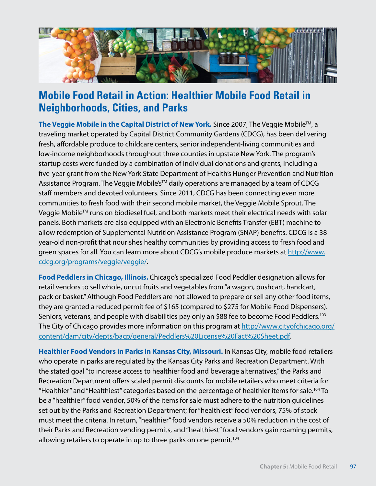

### **Mobile Food Retail in Action: Healthier Mobile Food Retail in Neighborhoods, Cities, and Parks**

**The Veggie Mobile in the Capital District of New York.** Since 2007, The Veggie Mobile™, a traveling market operated by Capital District Community Gardens (CDCG), has been delivering fresh, affordable produce to childcare centers, senior independent-living communities and low-income neighborhoods throughout three counties in upstate New York. The program's startup costs were funded by a combination of individual donations and grants, including a five-year grant from the New York State Department of Health's Hunger Prevention and Nutrition Assistance Program. The Veggie Mobile's<sup>™</sup> daily operations are managed by a team of CDCG staff members and devoted volunteers. Since 2011, CDCG has been connecting even more communities to fresh food with their second mobile market, the Veggie Mobile Sprout. The Veggie Mobile<sup>™</sup> runs on biodiesel fuel, and both markets meet their electrical needs with solar panels. Both markets are also equipped with an Electronic Benefits Transfer (EBT) machine to allow redemption of Supplemental Nutrition Assistance Program (SNAP) benefits. CDCG is a 38 year-old non-profit that nourishes healthy communities by providing access to fresh food and green spaces for all. You can learn more about CDCG's mobile produce markets at [http://www.](http://www.cdcg.org/programs/veggie/veggie) [cdcg.org/programs/veggie/veggie/](http://www.cdcg.org/programs/veggie/veggie).

**Food Peddlers in Chicago, Illinois.** Chicago's specialized Food Peddler designation allows for retail vendors to sell whole, uncut fruits and vegetables from "a wagon, pushcart, handcart, pack or basket." Although Food Peddlers are not allowed to prepare or sell any other food items, they are granted a reduced permit fee of \$165 (compared to \$275 for Mobile Food Dispensers). Seniors, veterans, and people with disabilities pay only an \$88 fee to become Food Peddlers.<sup>103</sup> The City of Chicago provides more information on this program at [http://www.cityofchicago.org/](http://www.cityofchicago.org/content/dam/city/depts/bacp/general/Peddlers) [content/dam/city/depts/bacp/general/Peddlers](http://www.cityofchicago.org/content/dam/city/depts/bacp/general/Peddlers)%20License%20Fact[%20Sheet.pdf](20Sheet.pdf).

**Healthier Food Vendors in Parks in Kansas City, Missouri.** In Kansas City, mobile food retailers who operate in parks are regulated by the Kansas City Parks and Recreation Department. With the stated goal "to increase access to healthier food and beverage alternatives," the Parks and Recreation Department offers scaled permit discounts for mobile retailers who meet criteria for "Healthier" and "Healthiest" categories based on the percentage of healthier items for sale.104 To be a "healthier" food vendor, 50% of the items for sale must adhere to the nutrition guidelines set out by the Parks and Recreation Department; for "healthiest" food vendors, 75% of stock must meet the criteria. In return, "healthier" food vendors receive a 50% reduction in the cost of their Parks and Recreation vending permits, and "healthiest" food vendors gain roaming permits, allowing retailers to operate in up to three parks on one permit.<sup>104</sup>